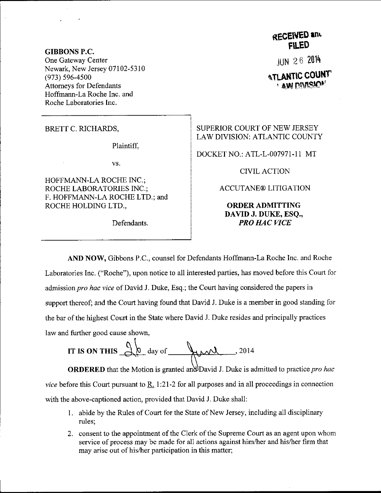GIBBONS P.C. One Gateway Center Newark, New Jersey 07102-5310 (973) s96-4soo Attorneys for Defendants Hoffmann-La Roche Inc. and Roche Laboratories Inc.

BRETT C. RICHARDS,

Plaintiff.

vs.

HOFFMANN-LA ROCHE INC.; ROCHE LABORATORIES INC,; F. HOFFMANN-LA ROCHE LTD.; and ROCHE HOLDING LTD.,

Defendants.

**RECEIVED and** FILED

JUN <sup>2</sup>6 <sup>2014</sup>

**ATLANTIC COUNT**  $,$  aw divisio

SUPERIOR COURT OF NEW JERSEY LAW DIVISION: ATLANTIC COUNTY

DOCKET NO.: ATL-L-007971-1 1 MT

CTVIL ACTION

ACCUTANE@ LITIGATION

ORDERADMITTING DAVID J. DUKE, ESQ., PRO HAC VICE

law and further good cause shown, AND NOW, Gibbons P.C., counsel for Defendants Hoffmann-La Roche Inc. and Roche Laboratories Inc. ("Roche"), upon notice to all interested parties, has moved before this Courl for admission pro hac vice of David J. Duke, Esq.; the Court having considered the papers in support thereof; and the Court having found that David J. Duke is a member in good standing for the bar of the highest Court in the State where David J. Duke resides and principally practices

 $\sqrt{2}$ IT IS ON THIS  $\bigcup_{\alpha}$  day of  $\bigcup_{\alpha}$   $\bigcup_{\alpha}$  , 2014

**ORDERED** that the Motion is granted and David J. Duke is admitted to practice *pro hac* vice before this Court pursuant to  $\underline{R}$ . 1:21-2 for all purposes and in all proceedings in connection with the above-captioned action, provided that David J. Duke shall:

- 1 abide by the Rules of Court for the State of New Jersey, including all disciplinary rules;
- 2. consent to the appointment of the Clerk of the Supreme Court as an agent upon whom service of process may be made for all actions against him/her and his/her firm that may arise out of his/her participation in this matter;